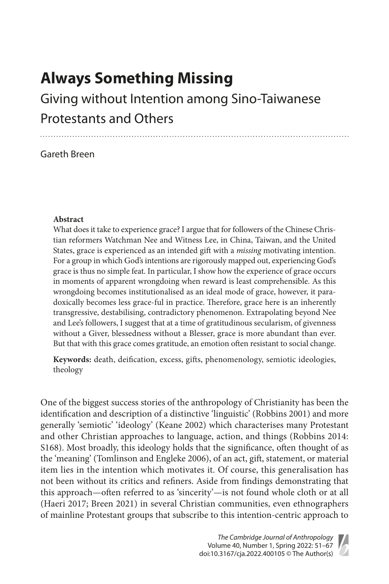# **Always Something Missing**

# Giving without Intention among Sino-Taiwanese Protestants and Others

## Gareth Breen

### **Abstract**

What does it take to experience grace? I argue that for followers of the Chinese Christian reformers Watchman Nee and Witness Lee, in China, Taiwan, and the United States, grace is experienced as an intended gift with a *missing* motivating intention. For a group in which God's intentions are rigorously mapped out, experiencing God's grace is thus no simple feat. In particular, I show how the experience of grace occurs in moments of apparent wrongdoing when reward is least comprehensible. As this wrongdoing becomes institutionalised as an ideal mode of grace, however, it paradoxically becomes less grace-ful in practice. Therefore, grace here is an inherently transgressive, destabilising, contradictory phenomenon. Extrapolating beyond Nee and Lee's followers, I suggest that at a time of gratitudinous secularism, of givenness without a Giver, blessedness without a Blesser, grace is more abundant than ever. But that with this grace comes gratitude, an emotion often resistant to social change.

**Keywords:** death, deification, excess, gifts, phenomenology, semiotic ideologies, theology

One of the biggest success stories of the anthropology of Christianity has been the identification and description of a distinctive 'linguistic' (Robbins 2001) and more generally 'semiotic' 'ideology' (Keane 2002) which characterises many Protestant and other Christian approaches to language, action, and things (Robbins 2014: S168). Most broadly, this ideology holds that the significance, often thought of as the 'meaning' (Tomlinson and Engleke 2006), of an act, gift, statement, or material item lies in the intention which motivates it. Of course, this generalisation has not been without its critics and refiners. Aside from findings demonstrating that this approach—often referred to as 'sincerity'—is not found whole cloth or at all (Haeri 2017; Breen 2021) in several Christian communities, even ethnographers of mainline Protestant groups that subscribe to this intention-centric approach to

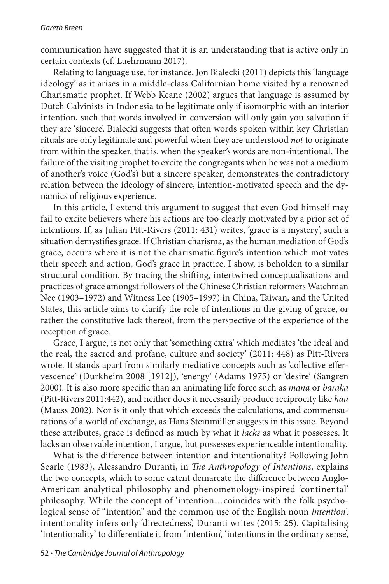communication have suggested that it is an understanding that is active only in certain contexts (cf. Luehrmann 2017).

Relating to language use, for instance, Jon Bialecki (2011) depicts this 'language ideology' as it arises in a middle-class Californian home visited by a renowned Charismatic prophet. If Webb Keane (2002) argues that language is assumed by Dutch Calvinists in Indonesia to be legitimate only if isomorphic with an interior intention, such that words involved in conversion will only gain you salvation if they are 'sincere', Bialecki suggests that often words spoken within key Christian rituals are only legitimate and powerful when they are understood *not* to originate from within the speaker, that is, when the speaker's words are non-intentional. The failure of the visiting prophet to excite the congregants when he was not a medium of another's voice (God's) but a sincere speaker, demonstrates the contradictory relation between the ideology of sincere, intention-motivated speech and the dynamics of religious experience.

In this article, I extend this argument to suggest that even God himself may fail to excite believers where his actions are too clearly motivated by a prior set of intentions. If, as Julian Pitt-Rivers (2011: 431) writes, 'grace is a mystery', such a situation demystifies grace. If Christian charisma, as the human mediation of God's grace, occurs where it is not the charismatic figure's intention which motivates their speech and action, God's grace in practice, I show, is beholden to a similar structural condition. By tracing the shifting, intertwined conceptualisations and practices of grace amongst followers of the Chinese Christian reformers Watchman Nee (1903–1972) and Witness Lee (1905–1997) in China, Taiwan, and the United States, this article aims to clarify the role of intentions in the giving of grace, or rather the constitutive lack thereof, from the perspective of the experience of the reception of grace.

Grace, I argue, is not only that 'something extra' which mediates 'the ideal and the real, the sacred and profane, culture and society' (2011: 448) as Pitt-Rivers wrote. It stands apart from similarly mediative concepts such as 'collective effervescence' (Durkheim 2008 [1912]), 'energy' (Adams 1975) or 'desire' (Sangren 2000). It is also more specific than an animating life force such as *mana* or *baraka* (Pitt-Rivers 2011:442), and neither does it necessarily produce reciprocity like *hau* (Mauss 2002). Nor is it only that which exceeds the calculations, and commensurations of a world of exchange, as Hans Steinmüller suggests in this issue. Beyond these attributes, grace is defined as much by what it *lacks* as what it possesses. It lacks an observable intention, I argue, but possesses experienceable intentionality.

What is the difference between intention and intentionality? Following John Searle (1983), Alessandro Duranti, in *The Anthropology of Intentions*, explains the two concepts, which to some extent demarcate the difference between Anglo-American analytical philosophy and phenomenology-inspired 'continental' philosophy. While the concept of 'intention…coincides with the folk psychological sense of "intention" and the common use of the English noun *intention*', intentionality infers only 'directedness', Duranti writes (2015: 25). Capitalising 'Intentionality' to differentiate it from 'intention', 'intentions in the ordinary sense',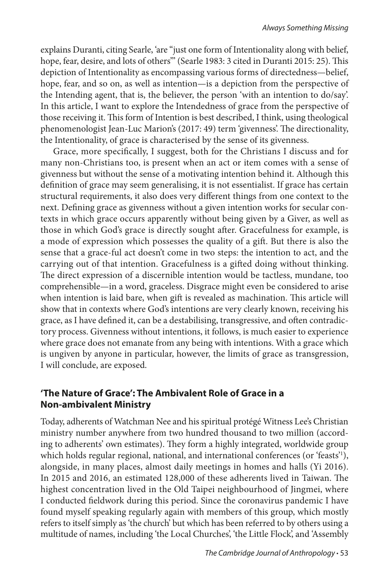explains Duranti, citing Searle, 'are "just one form of Intentionality along with belief, hope, fear, desire, and lots of others"" (Searle 1983: 3 cited in Duranti 2015: 25). This depiction of Intentionality as encompassing various forms of directedness—belief, hope, fear, and so on, as well as intention—is a depiction from the perspective of the Intending agent, that is, the believer, the person 'with an intention to do/say'. In this article, I want to explore the Intendedness of grace from the perspective of those receiving it. This form of Intention is best described, I think, using theological phenomenologist Jean-Luc Marion's (2017: 49) term 'givenness'. The directionality, the Intentionality, of grace is characterised by the sense of its givenness.

Grace, more specifically, I suggest, both for the Christians I discuss and for many non-Christians too, is present when an act or item comes with a sense of givenness but without the sense of a motivating intention behind it. Although this definition of grace may seem generalising, it is not essentialist. If grace has certain structural requirements, it also does very different things from one context to the next. Defining grace as givenness without a given intention works for secular contexts in which grace occurs apparently without being given by a Giver, as well as those in which God's grace is directly sought after. Gracefulness for example, is a mode of expression which possesses the quality of a gift. But there is also the sense that a grace-ful act doesn't come in two steps: the intention to act, and the carrying out of that intention. Gracefulness is a gifted doing without thinking. The direct expression of a discernible intention would be tactless, mundane, too comprehensible—in a word, graceless. Disgrace might even be considered to arise when intention is laid bare, when gift is revealed as machination. This article will show that in contexts where God's intentions are very clearly known, receiving his grace, as I have defined it, can be a destabilising, transgressive, and often contradictory process. Givenness without intentions, it follows, is much easier to experience where grace does not emanate from any being with intentions. With a grace which is ungiven by anyone in particular, however, the limits of grace as transgression, I will conclude, are exposed.

### **'The Nature of Grace': The Ambivalent Role of Grace in a Non-ambivalent Ministry**

Today, adherents of Watchman Nee and his spiritual protégé Witness Lee's Christian ministry number anywhere from two hundred thousand to two million (according to adherents' own estimates). They form a highly integrated, worldwide group which holds regular regional, national, and international conferences (or 'feasts'<sup>1</sup>), alongside, in many places, almost daily meetings in homes and halls (Yi 2016). In 2015 and 2016, an estimated 128,000 of these adherents lived in Taiwan. The highest concentration lived in the Old Taipei neighbourhood of Jingmei, where I conducted fieldwork during this period. Since the coronavirus pandemic I have found myself speaking regularly again with members of this group, which mostly refers to itself simply as 'the church' but which has been referred to by others using a multitude of names, including 'the Local Churches', 'the Little Flock', and 'Assembly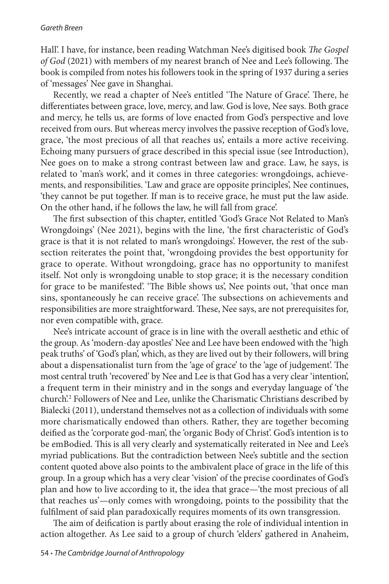#### *Gareth Breen*

Hall'. I have, for instance, been reading Watchman Nee's digitised book *The Gospel of God* (2021) with members of my nearest branch of Nee and Lee's following. The book is compiled from notes his followers took in the spring of 1937 during a series of 'messages' Nee gave in Shanghai.

Recently, we read a chapter of Nee's entitled 'The Nature of Grace'. There, he differentiates between grace, love, mercy, and law. God is love, Nee says. Both grace and mercy, he tells us, are forms of love enacted from God's perspective and love received from ours. But whereas mercy involves the passive reception of God's love, grace, 'the most precious of all that reaches us', entails a more active receiving. Echoing many pursuers of grace described in this special issue (see Introduction), Nee goes on to make a strong contrast between law and grace. Law, he says, is related to 'man's work', and it comes in three categories: wrongdoings, achievements, and responsibilities. 'Law and grace are opposite principles', Nee continues, 'they cannot be put together. If man is to receive grace, he must put the law aside. On the other hand, if he follows the law, he will fall from grace'.

The first subsection of this chapter, entitled 'God's Grace Not Related to Man's Wrongdoings' (Nee 2021), begins with the line, 'the first characteristic of God's grace is that it is not related to man's wrongdoings'. However, the rest of the subsection reiterates the point that, 'wrongdoing provides the best opportunity for grace to operate. Without wrongdoing, grace has no opportunity to manifest itself. Not only is wrongdoing unable to stop grace; it is the necessary condition for grace to be manifested'. 'The Bible shows us', Nee points out, 'that once man sins, spontaneously he can receive grace'. The subsections on achievements and responsibilities are more straightforward. These, Nee says, are not prerequisites for, nor even compatible with, grace.

Nee's intricate account of grace is in line with the overall aesthetic and ethic of the group. As 'modern-day apostles' Nee and Lee have been endowed with the 'high peak truths' of 'God's plan', which, as they are lived out by their followers, will bring about a dispensationalist turn from the 'age of grace' to the 'age of judgement'. The most central truth 'recovered' by Nee and Lee is that God has a very clear 'intention', a frequent term in their ministry and in the songs and everyday language of 'the church'.2 Followers of Nee and Lee, unlike the Charismatic Christians described by Bialecki (2011), understand themselves not as a collection of individuals with some more charismatically endowed than others. Rather, they are together becoming deified as the 'corporate god-man', the 'organic Body of Christ'. God's intention is to be emBodied. This is all very clearly and systematically reiterated in Nee and Lee's myriad publications. But the contradiction between Nee's subtitle and the section content quoted above also points to the ambivalent place of grace in the life of this group. In a group which has a very clear 'vision' of the precise coordinates of God's plan and how to live according to it, the idea that grace—'the most precious of all that reaches us'—only comes with wrongdoing, points to the possibility that the fulfilment of said plan paradoxically requires moments of its own transgression.

The aim of deification is partly about erasing the role of individual intention in action altogether. As Lee said to a group of church 'elders' gathered in Anaheim,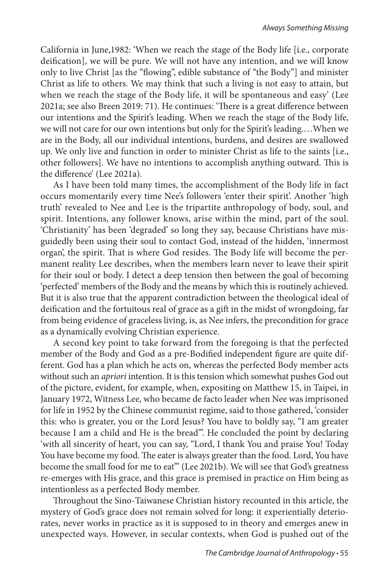California in June,1982: 'When we reach the stage of the Body life [i.e., corporate deification], we will be pure. We will not have any intention, and we will know only to live Christ [as the "flowing", edible substance of "the Body"] and minister Christ as life to others. We may think that such a living is not easy to attain, but when we reach the stage of the Body life, it will be spontaneous and easy' (Lee 2021a; see also Breen 2019: 71). He continues: 'There is a great difference between our intentions and the Spirit's leading. When we reach the stage of the Body life, we will not care for our own intentions but only for the Spirit's leading.…When we are in the Body, all our individual intentions, burdens, and desires are swallowed up. We only live and function in order to minister Christ as life to the saints [i.e., other followers]. We have no intentions to accomplish anything outward. This is the difference' (Lee 2021a).

As I have been told many times, the accomplishment of the Body life in fact occurs momentarily every time Nee's followers 'enter their spirit'. Another 'high truth' revealed to Nee and Lee is the tripartite anthropology of body, soul, and spirit. Intentions, any follower knows, arise within the mind, part of the soul. 'Christianity' has been 'degraded' so long they say, because Christians have misguidedly been using their soul to contact God, instead of the hidden, 'innermost organ', the spirit. That is where God resides. The Body life will become the permanent reality Lee describes, when the members learn never to leave their spirit for their soul or body. I detect a deep tension then between the goal of becoming 'perfected' members of the Body and the means by which this is routinely achieved. But it is also true that the apparent contradiction between the theological ideal of deification and the fortuitous real of grace as a gift in the midst of wrongdoing, far from being evidence of graceless living, is, as Nee infers, the precondition for grace as a dynamically evolving Christian experience.

A second key point to take forward from the foregoing is that the perfected member of the Body and God as a pre-Bodified independent figure are quite different. God has a plan which he acts on, whereas the perfected Body member acts without such an *apriori* intention. It is this tension which somewhat pushes God out of the picture, evident, for example, when, expositing on Matthew 15, in Taipei, in January 1972, Witness Lee, who became de facto leader when Nee was imprisoned for life in 1952 by the Chinese communist regime, said to those gathered, 'consider this: who is greater, you or the Lord Jesus? You have to boldly say, "I am greater because I am a child and He is the bread"'. He concluded the point by declaring 'with all sincerity of heart, you can say, "Lord, I thank You and praise You! Today You have become my food. The eater is always greater than the food. Lord, You have become the small food for me to eat"' (Lee 2021b). We will see that God's greatness re-emerges with His grace, and this grace is premised in practice on Him being as intentionless as a perfected Body member.

Throughout the Sino-Taiwanese Christian history recounted in this article, the mystery of God's grace does not remain solved for long: it experientially deteriorates, never works in practice as it is supposed to in theory and emerges anew in unexpected ways. However, in secular contexts, when God is pushed out of the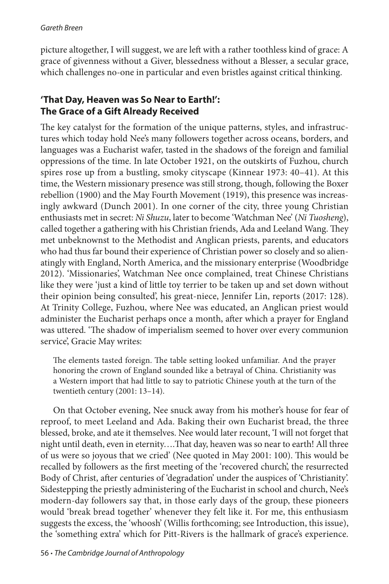picture altogether, I will suggest, we are left with a rather toothless kind of grace: A grace of givenness without a Giver, blessedness without a Blesser, a secular grace, which challenges no-one in particular and even bristles against critical thinking.

## **'That Day, Heaven was So Near to Earth!': The Grace of a Gift Already Received**

The key catalyst for the formation of the unique patterns, styles, and infrastructures which today hold Nee's many followers together across oceans, borders, and languages was a Eucharist wafer, tasted in the shadows of the foreign and familial oppressions of the time. In late October 1921, on the outskirts of Fuzhou, church spires rose up from a bustling, smoky cityscape (Kinnear 1973: 40–41). At this time, the Western missionary presence was still strong, though, following the Boxer rebellion (1900) and the May Fourth Movement (1919), this presence was increasingly awkward (Dunch 2001). In one corner of the city, three young Christian enthusiasts met in secret: *Ni Shuzu*, later to become 'Watchman Nee' (*Ni Tuosheng*), called together a gathering with his Christian friends, Ada and Leeland Wang. They met unbeknownst to the Methodist and Anglican priests, parents, and educators who had thus far bound their experience of Christian power so closely and so alienatingly with England, North America, and the missionary enterprise (Woodbridge 2012). 'Missionaries', Watchman Nee once complained, treat Chinese Christians like they were 'just a kind of little toy terrier to be taken up and set down without their opinion being consulted', his great-niece, Jennifer Lin, reports (2017: 128). At Trinity College, Fuzhou, where Nee was educated, an Anglican priest would administer the Eucharist perhaps once a month, after which a prayer for England was uttered. 'The shadow of imperialism seemed to hover over every communion service', Gracie May writes:

The elements tasted foreign. The table setting looked unfamiliar. And the prayer honoring the crown of England sounded like a betrayal of China. Christianity was a Western import that had little to say to patriotic Chinese youth at the turn of the twentieth century (2001: 13–14).

On that October evening, Nee snuck away from his mother's house for fear of reproof, to meet Leeland and Ada. Baking their own Eucharist bread, the three blessed, broke, and ate it themselves. Nee would later recount, 'I will not forget that night until death, even in eternity….That day, heaven was so near to earth! All three of us were so joyous that we cried' (Nee quoted in May 2001: 100). This would be recalled by followers as the first meeting of the 'recovered church', the resurrected Body of Christ, after centuries of 'degradation' under the auspices of 'Christianity'. Sidestepping the priestly administering of the Eucharist in school and church, Nee's modern-day followers say that, in those early days of the group, these pioneers would 'break bread together' whenever they felt like it. For me, this enthusiasm suggests the excess, the 'whoosh' (Willis forthcoming; see Introduction, this issue), the 'something extra' which for Pitt-Rivers is the hallmark of grace's experience.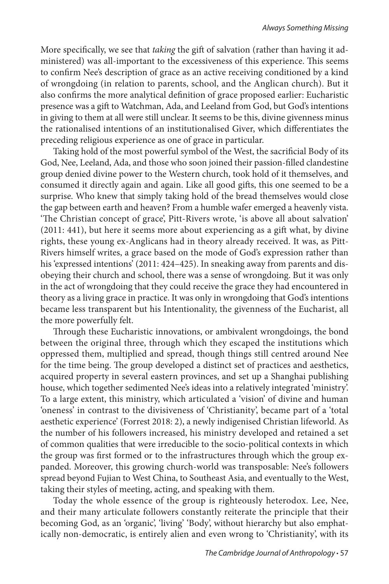More specifically, we see that *taking* the gift of salvation (rather than having it administered) was all-important to the excessiveness of this experience. This seems to confirm Nee's description of grace as an active receiving conditioned by a kind of wrongdoing (in relation to parents, school, and the Anglican church). But it also confirms the more analytical definition of grace proposed earlier: Eucharistic presence was a gift to Watchman, Ada, and Leeland from God, but God's intentions in giving to them at all were still unclear. It seems to be this, divine givenness minus the rationalised intentions of an institutionalised Giver, which differentiates the preceding religious experience as one of grace in particular.

Taking hold of the most powerful symbol of the West, the sacrificial Body of its God, Nee, Leeland, Ada, and those who soon joined their passion-filled clandestine group denied divine power to the Western church, took hold of it themselves, and consumed it directly again and again. Like all good gifts, this one seemed to be a surprise. Who knew that simply taking hold of the bread themselves would close the gap between earth and heaven? From a humble wafer emerged a heavenly vista. 'The Christian concept of grace', Pitt-Rivers wrote, 'is above all about salvation' (2011: 441), but here it seems more about experiencing as a gift what, by divine rights, these young ex-Anglicans had in theory already received. It was, as Pitt-Rivers himself writes, a grace based on the mode of God's expression rather than his 'expressed intentions' (2011: 424–425). In sneaking away from parents and disobeying their church and school, there was a sense of wrongdoing. But it was only in the act of wrongdoing that they could receive the grace they had encountered in theory as a living grace in practice. It was only in wrongdoing that God's intentions became less transparent but his Intentionality, the givenness of the Eucharist, all the more powerfully felt.

Through these Eucharistic innovations, or ambivalent wrongdoings, the bond between the original three, through which they escaped the institutions which oppressed them, multiplied and spread, though things still centred around Nee for the time being. The group developed a distinct set of practices and aesthetics, acquired property in several eastern provinces, and set up a Shanghai publishing house, which together sedimented Nee's ideas into a relatively integrated 'ministry'. To a large extent, this ministry, which articulated a 'vision' of divine and human 'oneness' in contrast to the divisiveness of 'Christianity', became part of a 'total aesthetic experience' (Forrest 2018: 2), a newly indigenised Christian lifeworld. As the number of his followers increased, his ministry developed and retained a set of common qualities that were irreducible to the socio-political contexts in which the group was first formed or to the infrastructures through which the group expanded. Moreover, this growing church-world was transposable: Nee's followers spread beyond Fujian to West China, to Southeast Asia, and eventually to the West, taking their styles of meeting, acting, and speaking with them.

Today the whole essence of the group is righteously heterodox. Lee, Nee, and their many articulate followers constantly reiterate the principle that their becoming God, as an 'organic', 'living' 'Body', without hierarchy but also emphatically non-democratic, is entirely alien and even wrong to 'Christianity', with its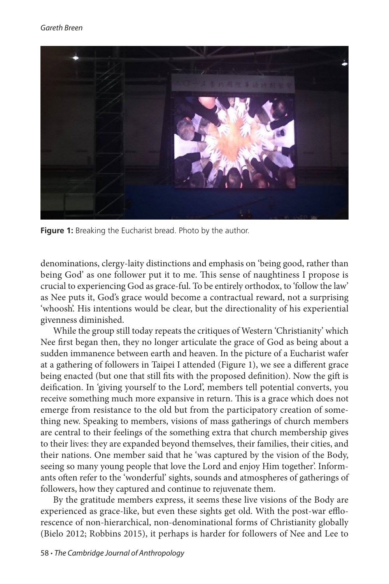

**Figure 1:** Breaking the Eucharist bread. Photo by the author.

denominations, clergy-laity distinctions and emphasis on 'being good, rather than being God' as one follower put it to me. This sense of naughtiness I propose is crucial to experiencing God as grace-ful. To be entirely orthodox, to 'follow the law' as Nee puts it, God's grace would become a contractual reward, not a surprising 'whoosh'. His intentions would be clear, but the directionality of his experiential givenness diminished.

While the group still today repeats the critiques of Western 'Christianity' which Nee first began then, they no longer articulate the grace of God as being about a sudden immanence between earth and heaven. In the picture of a Eucharist wafer at a gathering of followers in Taipei I attended (Figure 1), we see a different grace being enacted (but one that still fits with the proposed definition). Now the gift is deification. In 'giving yourself to the Lord', members tell potential converts, you receive something much more expansive in return. This is a grace which does not emerge from resistance to the old but from the participatory creation of something new. Speaking to members, visions of mass gatherings of church members are central to their feelings of the something extra that church membership gives to their lives: they are expanded beyond themselves, their families, their cities, and their nations. One member said that he 'was captured by the vision of the Body, seeing so many young people that love the Lord and enjoy Him together'. Informants often refer to the 'wonderful' sights, sounds and atmospheres of gatherings of followers, how they captured and continue to rejuvenate them.

By the gratitude members express, it seems these live visions of the Body are experienced as grace-like, but even these sights get old. With the post-war efflorescence of non-hierarchical, non-denominational forms of Christianity globally (Bielo 2012; Robbins 2015), it perhaps is harder for followers of Nee and Lee to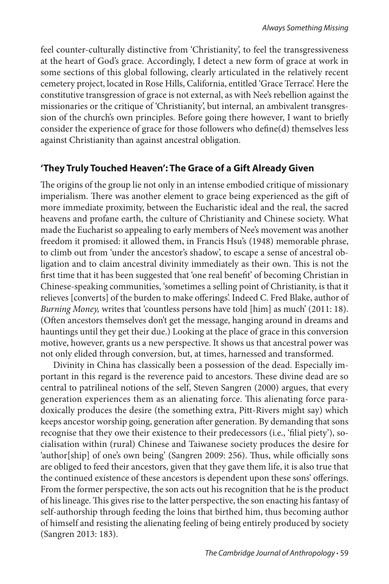feel counter-culturally distinctive from 'Christianity', to feel the transgressiveness at the heart of God's grace. Accordingly, I detect a new form of grace at work in some sections of this global following, clearly articulated in the relatively recent cemetery project, located in Rose Hills, California, entitled 'Grace Terrace'. Here the constitutive transgression of grace is not external, as with Nee's rebellion against the missionaries or the critique of 'Christianity', but internal, an ambivalent transgression of the church's own principles. Before going there however, I want to briefly consider the experience of grace for those followers who define(d) themselves less against Christianity than against ancestral obligation.

## **'They Truly Touched Heaven': The Grace of a Gift Already Given**

The origins of the group lie not only in an intense embodied critique of missionary imperialism. There was another element to grace being experienced as the gift of more immediate proximity, between the Eucharistic ideal and the real, the sacred heavens and profane earth, the culture of Christianity and Chinese society. What made the Eucharist so appealing to early members of Nee's movement was another freedom it promised: it allowed them, in Francis Hsu's (1948) memorable phrase, to climb out from 'under the ancestor's shadow', to escape a sense of ancestral obligation and to claim ancestral divinity immediately as their own. This is not the first time that it has been suggested that 'one real benefit' of becoming Christian in Chinese-speaking communities, 'sometimes a selling point of Christianity, is that it relieves [converts] of the burden to make offerings'. Indeed C. Fred Blake, author of *Burning Money,* writes that 'countless persons have told [him] as much' (2011: 18). (Often ancestors themselves don't get the message, hanging around in dreams and hauntings until they get their due.) Looking at the place of grace in this conversion motive, however, grants us a new perspective. It shows us that ancestral power was not only elided through conversion, but, at times, harnessed and transformed.

Divinity in China has classically been a possession of the dead. Especially important in this regard is the reverence paid to ancestors. These divine dead are so central to patrilineal notions of the self, Steven Sangren (2000) argues, that every generation experiences them as an alienating force. This alienating force paradoxically produces the desire (the something extra, Pitt-Rivers might say) which keeps ancestor worship going, generation after generation. By demanding that sons recognise that they owe their existence to their predecessors (i.e., 'filial piety'), socialisation within (rural) Chinese and Taiwanese society produces the desire for 'author[ship] of one's own being' (Sangren 2009: 256). Thus, while officially sons are obliged to feed their ancestors, given that they gave them life, it is also true that the continued existence of these ancestors is dependent upon these sons' offerings. From the former perspective, the son acts out his recognition that he is the product of his lineage. This gives rise to the latter perspective, the son enacting his fantasy of self-authorship through feeding the loins that birthed him, thus becoming author of himself and resisting the alienating feeling of being entirely produced by society (Sangren 2013: 183).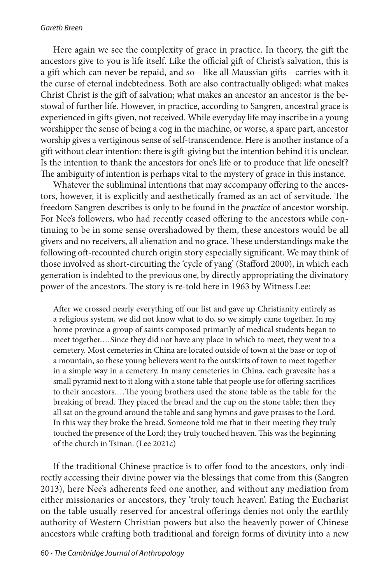#### *Gareth Breen*

Here again we see the complexity of grace in practice. In theory, the gift the ancestors give to you is life itself. Like the official gift of Christ's salvation, this is a gift which can never be repaid, and so—like all Maussian gifts—carries with it the curse of eternal indebtedness. Both are also contractually obliged: what makes Christ Christ is the gift of salvation; what makes an ancestor an ancestor is the bestowal of further life. However, in practice, according to Sangren, ancestral grace is experienced in gifts given, not received. While everyday life may inscribe in a young worshipper the sense of being a cog in the machine, or worse, a spare part, ancestor worship gives a vertiginous sense of self-transcendence. Here is another instance of a gift without clear intention: there is gift-giving but the intention behind it is unclear. Is the intention to thank the ancestors for one's life or to produce that life oneself? The ambiguity of intention is perhaps vital to the mystery of grace in this instance.

Whatever the subliminal intentions that may accompany offering to the ancestors, however, it is explicitly and aesthetically framed as an act of servitude. The freedom Sangren describes is only to be found in the *practice* of ancestor worship. For Nee's followers, who had recently ceased offering to the ancestors while continuing to be in some sense overshadowed by them, these ancestors would be all givers and no receivers, all alienation and no grace. These understandings make the following oft-recounted church origin story especially significant. We may think of those involved as short-circuiting the 'cycle of yang' (Stafford 2000), in which each generation is indebted to the previous one, by directly appropriating the divinatory power of the ancestors. The story is re-told here in 1963 by Witness Lee:

After we crossed nearly everything off our list and gave up Christianity entirely as a religious system, we did not know what to do, so we simply came together. In my home province a group of saints composed primarily of medical students began to meet together.…Since they did not have any place in which to meet, they went to a cemetery. Most cemeteries in China are located outside of town at the base or top of a mountain, so these young believers went to the outskirts of town to meet together in a simple way in a cemetery. In many cemeteries in China, each gravesite has a small pyramid next to it along with a stone table that people use for offering sacrifices to their ancestors.…The young brothers used the stone table as the table for the breaking of bread. They placed the bread and the cup on the stone table; then they all sat on the ground around the table and sang hymns and gave praises to the Lord. In this way they broke the bread. Someone told me that in their meeting they truly touched the presence of the Lord; they truly touched heaven. This was the beginning of the church in Tsinan. (Lee 2021c)

If the traditional Chinese practice is to offer food to the ancestors, only indirectly accessing their divine power via the blessings that come from this (Sangren 2013), here Nee's adherents feed one another, and without any mediation from either missionaries or ancestors, they 'truly touch heaven'. Eating the Eucharist on the table usually reserved for ancestral offerings denies not only the earthly authority of Western Christian powers but also the heavenly power of Chinese ancestors while crafting both traditional and foreign forms of divinity into a new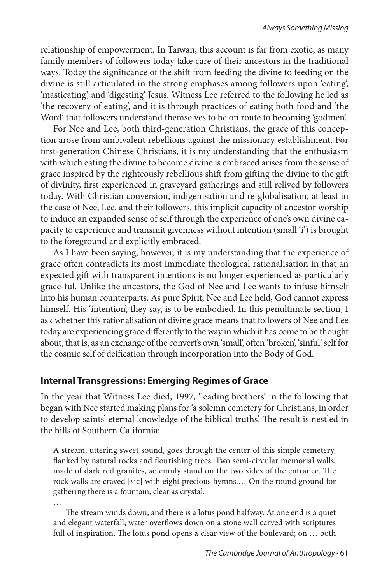relationship of empowerment. In Taiwan, this account is far from exotic, as many family members of followers today take care of their ancestors in the traditional ways. Today the significance of the shift from feeding the divine to feeding on the divine is still articulated in the strong emphases among followers upon 'eating', 'masticating', and 'digesting' Jesus. Witness Lee referred to the following he led as 'the recovery of eating', and it is through practices of eating both food and 'the Word' that followers understand themselves to be on route to becoming 'godmen'.

For Nee and Lee, both third-generation Christians, the grace of this conception arose from ambivalent rebellions against the missionary establishment. For first-generation Chinese Christians, it is my understanding that the enthusiasm with which eating the divine to become divine is embraced arises from the sense of grace inspired by the righteously rebellious shift from gifting the divine to the gift of divinity, first experienced in graveyard gatherings and still relived by followers today. With Christian conversion, indigenisation and re-globalisation, at least in the case of Nee, Lee, and their followers, this implicit capacity of ancestor worship to induce an expanded sense of self through the experience of one's own divine capacity to experience and transmit givenness without intention (small 'i') is brought to the foreground and explicitly embraced.

As I have been saying, however, it is my understanding that the experience of grace often contradicts its most immediate theological rationalisation in that an expected gift with transparent intentions is no longer experienced as particularly grace-ful. Unlike the ancestors, the God of Nee and Lee wants to infuse himself into his human counterparts. As pure Spirit, Nee and Lee held, God cannot express himself. His 'intention', they say, is to be embodied. In this penultimate section, I ask whether this rationalisation of divine grace means that followers of Nee and Lee today are experiencing grace differently to the way in which it has come to be thought about, that is, as an exchange of the convert's own 'small', often 'broken', 'sinful' self for the cosmic self of deification through incorporation into the Body of God.

## **Internal Transgressions: Emerging Regimes of Grace**

In the year that Witness Lee died, 1997, 'leading brothers' in the following that began with Nee started making plans for 'a solemn cemetery for Christians, in order to develop saints' eternal knowledge of the biblical truths'. The result is nestled in the hills of Southern California:

A stream, uttering sweet sound, goes through the center of this simple cemetery, flanked by natural rocks and flourishing trees. Two semi-circular memorial walls, made of dark red granites, solemnly stand on the two sides of the entrance. The rock walls are craved [sic] with eight precious hymns.… On the round ground for gathering there is a fountain, clear as crystal.

… The stream winds down, and there is a lotus pond halfway. At one end is a quiet and elegant waterfall; water overflows down on a stone wall carved with scriptures full of inspiration. The lotus pond opens a clear view of the boulevard; on … both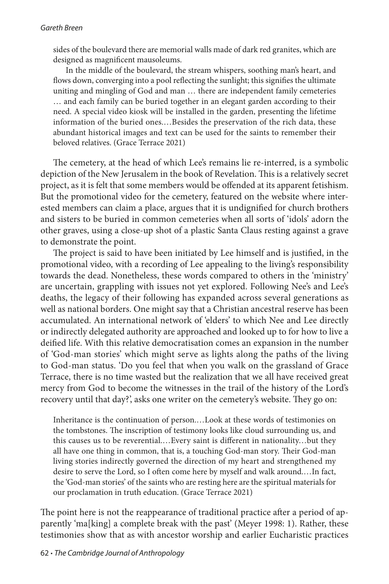sides of the boulevard there are memorial walls made of dark red granites, which are designed as magnificent mausoleums.

In the middle of the boulevard, the stream whispers, soothing man's heart, and flows down, converging into a pool reflecting the sunlight; this signifies the ultimate uniting and mingling of God and man … there are independent family cemeteries … and each family can be buried together in an elegant garden according to their need. A special video kiosk will be installed in the garden, presenting the lifetime information of the buried ones.…Besides the preservation of the rich data, these abundant historical images and text can be used for the saints to remember their beloved relatives. (Grace Terrace 2021)

The cemetery, at the head of which Lee's remains lie re-interred, is a symbolic depiction of the New Jerusalem in the book of Revelation. This is a relatively secret project, as it is felt that some members would be offended at its apparent fetishism. But the promotional video for the cemetery, featured on the website where interested members can claim a place, argues that it is undignified for church brothers and sisters to be buried in common cemeteries when all sorts of 'idols' adorn the other graves, using a close-up shot of a plastic Santa Claus resting against a grave to demonstrate the point.

The project is said to have been initiated by Lee himself and is justified, in the promotional video, with a recording of Lee appealing to the living's responsibility towards the dead. Nonetheless, these words compared to others in the 'ministry' are uncertain, grappling with issues not yet explored. Following Nee's and Lee's deaths, the legacy of their following has expanded across several generations as well as national borders. One might say that a Christian ancestral reserve has been accumulated. An international network of 'elders' to which Nee and Lee directly or indirectly delegated authority are approached and looked up to for how to live a deified life. With this relative democratisation comes an expansion in the number of 'God-man stories' which might serve as lights along the paths of the living to God-man status. 'Do you feel that when you walk on the grassland of Grace Terrace, there is no time wasted but the realization that we all have received great mercy from God to become the witnesses in the trail of the history of the Lord's recovery until that day?', asks one writer on the cemetery's website. They go on:

Inheritance is the continuation of person.…Look at these words of testimonies on the tombstones. The inscription of testimony looks like cloud surrounding us, and this causes us to be reverential.…Every saint is different in nationality…but they all have one thing in common, that is, a touching God-man story. Their God-man living stories indirectly governed the direction of my heart and strengthened my desire to serve the Lord, so I often come here by myself and walk around.…In fact, the 'God-man stories' of the saints who are resting here are the spiritual materials for our proclamation in truth education. (Grace Terrace 2021)

The point here is not the reappearance of traditional practice after a period of apparently 'ma[king] a complete break with the past' (Meyer 1998: 1). Rather, these testimonies show that as with ancestor worship and earlier Eucharistic practices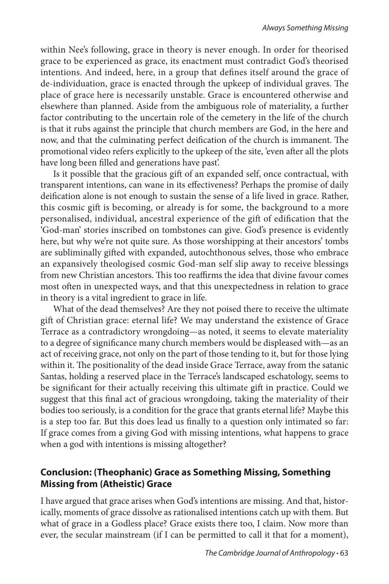within Nee's following, grace in theory is never enough. In order for theorised grace to be experienced as grace, its enactment must contradict God's theorised intentions. And indeed, here, in a group that defines itself around the grace of de-individuation, grace is enacted through the upkeep of individual graves. The place of grace here is necessarily unstable. Grace is encountered otherwise and elsewhere than planned. Aside from the ambiguous role of materiality, a further factor contributing to the uncertain role of the cemetery in the life of the church is that it rubs against the principle that church members are God, in the here and now, and that the culminating perfect deification of the church is immanent. The promotional video refers explicitly to the upkeep of the site, 'even after all the plots have long been filled and generations have past'.

Is it possible that the gracious gift of an expanded self, once contractual, with transparent intentions, can wane in its effectiveness? Perhaps the promise of daily deification alone is not enough to sustain the sense of a life lived in grace. Rather, this cosmic gift is becoming, or already is for some, the background to a more personalised, individual, ancestral experience of the gift of edification that the 'God-man' stories inscribed on tombstones can give. God's presence is evidently here, but why we're not quite sure. As those worshipping at their ancestors' tombs are subliminally gifted with expanded, autochthonous selves, those who embrace an expansively theologised cosmic God-man self slip away to receive blessings from new Christian ancestors. This too reaffirms the idea that divine favour comes most often in unexpected ways, and that this unexpectedness in relation to grace in theory is a vital ingredient to grace in life.

What of the dead themselves? Are they not poised there to receive the ultimate gift of Christian grace: eternal life? We may understand the existence of Grace Terrace as a contradictory wrongdoing—as noted, it seems to elevate materiality to a degree of significance many church members would be displeased with—as an act of receiving grace, not only on the part of those tending to it, but for those lying within it. The positionality of the dead inside Grace Terrace, away from the satanic Santas, holding a reserved place in the Terrace's landscaped eschatology, seems to be significant for their actually receiving this ultimate gift in practice. Could we suggest that this final act of gracious wrongdoing, taking the materiality of their bodies too seriously, is a condition for the grace that grants eternal life? Maybe this is a step too far. But this does lead us finally to a question only intimated so far: If grace comes from a giving God with missing intentions, what happens to grace when a god with intentions is missing altogether?

## **Conclusion: (Theophanic) Grace as Something Missing, Something Missing from (Atheistic) Grace**

I have argued that grace arises when God's intentions are missing. And that, historically, moments of grace dissolve as rationalised intentions catch up with them. But what of grace in a Godless place? Grace exists there too, I claim. Now more than ever, the secular mainstream (if I can be permitted to call it that for a moment),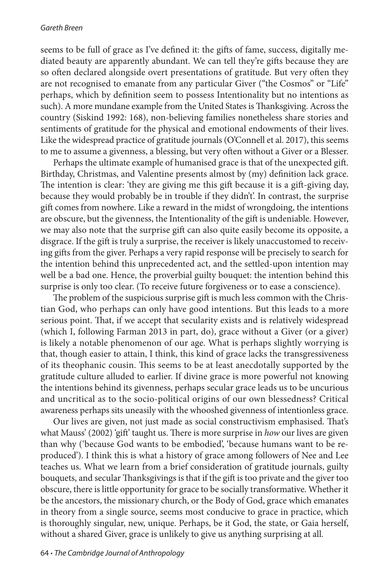#### *Gareth Breen*

seems to be full of grace as I've defined it: the gifts of fame, success, digitally mediated beauty are apparently abundant. We can tell they're gifts because they are so often declared alongside overt presentations of gratitude. But very often they are not recognised to emanate from any particular Giver ("the Cosmos" or "Life" perhaps, which by definition seem to possess Intentionality but no intentions as such). A more mundane example from the United States is Thanksgiving. Across the country (Siskind 1992: 168), non-believing families nonetheless share stories and sentiments of gratitude for the physical and emotional endowments of their lives. Like the widespread practice of gratitude journals (O'Connell et al. 2017), this seems to me to assume a givenness, a blessing, but very often without a Giver or a Blesser.

Perhaps the ultimate example of humanised grace is that of the unexpected gift. Birthday, Christmas, and Valentine presents almost by (my) definition lack grace. The intention is clear: 'they are giving me this gift because it is a gift-giving day, because they would probably be in trouble if they didn't'. In contrast, the surprise gift comes from nowhere. Like a reward in the midst of wrongdoing, the intentions are obscure, but the givenness, the Intentionality of the gift is undeniable. However, we may also note that the surprise gift can also quite easily become its opposite, a disgrace. If the gift is truly a surprise, the receiver is likely unaccustomed to receiving gifts from the giver. Perhaps a very rapid response will be precisely to search for the intention behind this unprecedented act, and the settled-upon intention may well be a bad one. Hence, the proverbial guilty bouquet: the intention behind this surprise is only too clear. (To receive future forgiveness or to ease a conscience).

The problem of the suspicious surprise gift is much less common with the Christian God, who perhaps can only have good intentions. But this leads to a more serious point. That, if we accept that secularity exists and is relatively widespread (which I, following Farman 2013 in part, do), grace without a Giver (or a giver) is likely a notable phenomenon of our age. What is perhaps slightly worrying is that, though easier to attain, I think, this kind of grace lacks the transgressiveness of its theophanic cousin. This seems to be at least anecdotally supported by the gratitude culture alluded to earlier. If divine grace is more powerful not knowing the intentions behind its givenness, perhaps secular grace leads us to be uncurious and uncritical as to the socio-political origins of our own blessedness? Critical awareness perhaps sits uneasily with the whooshed givenness of intentionless grace.

Our lives are given, not just made as social constructivism emphasised. That's what Mauss' (2002) 'gift' taught us. There is more surprise in *how* our lives are given than why ('because God wants to be embodied', 'because humans want to be reproduced'). I think this is what a history of grace among followers of Nee and Lee teaches us. What we learn from a brief consideration of gratitude journals, guilty bouquets, and secular Thanksgivings is that if the gift is too private and the giver too obscure, there is little opportunity for grace to be socially transformative. Whether it be the ancestors, the missionary church, or the Body of God, grace which emanates in theory from a single source, seems most conducive to grace in practice, which is thoroughly singular, new, unique. Perhaps, be it God, the state, or Gaia herself, without a shared Giver, grace is unlikely to give us anything surprising at all.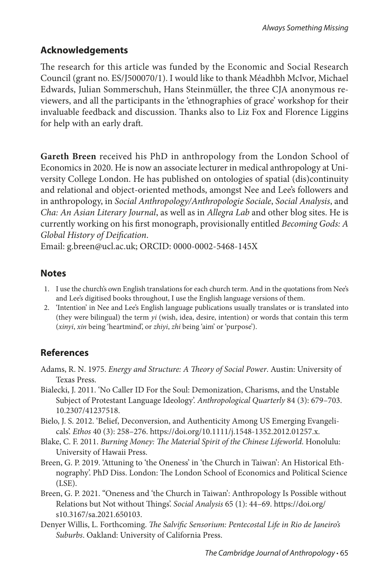## **Acknowledgements**

The research for this article was funded by the Economic and Social Research Council (grant no. ES/J500070/1). I would like to thank Méadhbh McIvor, Michael Edwards, Julian Sommerschuh, Hans Steinmüller, the three CJA anonymous reviewers, and all the participants in the 'ethnographies of grace' workshop for their invaluable feedback and discussion. Thanks also to Liz Fox and Florence Liggins for help with an early draft.

**Gareth Breen** received his PhD in anthropology from the London School of Economics in 2020. He is now an associate lecturer in medical anthropology at University College London. He has published on ontologies of spatial (dis)continuity and relational and object-oriented methods, amongst Nee and Lee's followers and in anthropology, in *Social Anthropology/Anthropologie Sociale*, *Social Analysis*, and *Cha: An Asian Literary Journal*, as well as in *Allegra Lab* and other blog sites. He is currently working on his first monograph, provisionally entitled *Becoming Gods: A Global History of Deification*.

Email: g.breen@ucl.ac.uk; ORCID: 0000-0002-5468-145X

## **Notes**

- 1. I use the church's own English translations for each church term. And in the quotations from Nee's and Lee's digitised books throughout, I use the English language versions of them.
- 2. 'Intention' in Nee and Lee's English language publications usually translates or is translated into (they were bilingual) the term *yi* (wish, idea, desire, intention) or words that contain this term (*xinyi*, *xin* being 'heartmind', or *zhiyi*, *zhi* being 'aim' or 'purpose').

# **References**

- Adams, R. N. 1975. *Energy and Structure: A Theory of Social Power*. Austin: University of Texas Press.
- Bialecki, J. 2011. 'No Caller ID For the Soul: Demonization, Charisms, and the Unstable Subject of Protestant Language Ideology'. *Anthropological Quarterly* 84 (3): 679–703. 10.2307/41237518.
- Bielo, J. S. 2012. 'Belief, Deconversion, and Authenticity Among US Emerging Evangelicals'. *Ethos* 40 (3): 258–276. https://doi.org/10.1111/j.1548-1352.2012.01257.x.
- Blake, C. F. 2011. *Burning Money: The Material Spirit of the Chinese Lifeworld*. Honolulu: University of Hawaii Press.
- Breen, G. P. 2019. 'Attuning to 'the Oneness' in 'the Church in Taiwan': An Historical Ethnography'. PhD Diss. London: The London School of Economics and Political Science (LSE).
- Breen, G. P. 2021. "Oneness and 'the Church in Taiwan': Anthropology Is Possible without Relations but Not without Things'. *Social Analysis* 65 (1): 44–69. https://doi.org/ s10.3167/sa.2021.650103.
- Denyer Willis, L. Forthcoming. *The Salvific Sensorium: Pentecostal Life in Rio de Janeiro's Suburbs*. Oakland: University of California Press.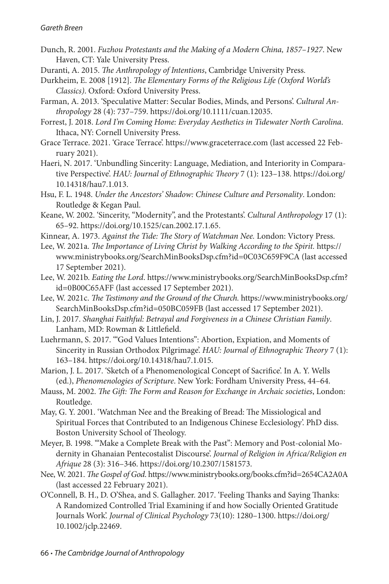- Dunch, R. 2001. *Fuzhou Protestants and the Making of a Modern China, 1857–1927*. New Haven, CT: Yale University Press.
- Duranti, A. 2015. *The Anthropology of Intentions*, Cambridge University Press.
- Durkheim, E. 2008 [1912]. *The Elementary Forms of the Religious Life (Oxford World's Classics)*. Oxford: Oxford University Press.
- Farman, A. 2013. 'Speculative Matter: Secular Bodies, Minds, and Persons'. *Cultural Anthropology* 28 (4): 737–759. https://doi.org/10.1111/cuan.12035.
- Forrest, J. 2018. *Lord I'm Coming Home: Everyday Aesthetics in Tidewater North Carolina*. Ithaca, NY: Cornell University Press.
- Grace Terrace. 2021. 'Grace Terrace'. https://www.graceterrace.com (last accessed 22 February 2021).
- Haeri, N. 2017. 'Unbundling Sincerity: Language, Mediation, and Interiority in Comparative Perspective'. *HAU: Journal of Ethnographic Theory* 7 (1): 123–138. https://doi.org/ 10.14318/hau7.1.013.
- Hsu, F. L. 1948. *Under the Ancestors' Shadow: Chinese Culture and Personality*. London: Routledge & Kegan Paul.
- Keane, W. 2002. 'Sincerity, "Modernity", and the Protestants'. *Cultural Anthropology* 17 (1): 65–92. [https://doi.org/10.1525/can.2002.17.1.65.](https://doi.org/10.1525/can.2002.17.1.65)
- Kinnear, A. 1973. *Against the Tide: The Story of Watchman Nee.* London: Victory Press.
- Lee, W. 2021a. *The Importance of Living Christ by Walking According to the Spirit.* https:// www.ministrybooks.org/SearchMinBooksDsp.cfm?id=0C03C659F9CA (last accessed 17 September 2021).
- Lee, W. 2021b. *Eating the Lord*. https://www.ministrybooks.org/SearchMinBooksDsp.cfm? id=0B00C65AFF (last accessed 17 September 2021).
- Lee, W. 2021c. *The Testimony and the Ground of the Church.* https://www.ministrybooks.org/ SearchMinBooksDsp.cfm?id=050BC059FB (last accessed 17 September 2021).
- Lin, J. 2017. *Shanghai Faithful: Betrayal and Forgiveness in a Chinese Christian Family*. Lanham, MD: Rowman & Littlefield.
- Luehrmann, S. 2017. '"God Values Intentions": Abortion, Expiation, and Moments of Sincerity in Russian Orthodox Pilgrimage'. *HAU: Journal of Ethnographic Theory* 7 (1): 163–184. https://doi.org/10.14318/hau7.1.015.
- Marion, J. L. 2017. 'Sketch of a Phenomenological Concept of Sacrifice'. In A. Y. Wells (ed.), *Phenomenologies of Scripture*. New York: Fordham University Press, 44–64.
- Mauss, M. 2002. *The Gift: The Form and Reason for Exchange in Archaic societies*, London: Routledge.
- May, G. Y. 2001. 'Watchman Nee and the Breaking of Bread: The Missiological and Spiritual Forces that Contributed to an Indigenous Chinese Ecclesiology'. PhD diss. Boston University School of Theology.
- Meyer, B. 1998. '"Make a Complete Break with the Past": Memory and Post-colonial Modernity in Ghanaian Pentecostalist Discourse'. *Journal of Religion in Africa/Religion en Afrique* 28 (3): 316–346. https://doi.org/10.2307/1581573.
- Nee, W. 2021. *The Gospel of God*. https://www.ministrybooks.org/books.cfm?id=2654CA2A0A (last accessed 22 February 2021).
- O'Connell, B. H., D. O'Shea, and S. Gallagher. 2017. 'Feeling Thanks and Saying Thanks: A Randomized Controlled Trial Examining if and how Socially Oriented Gratitude Journals Work'. *Journal of Clinical Psychology* 73(10): 1280–1300. https://doi.org/ 10.1002/jclp.22469.